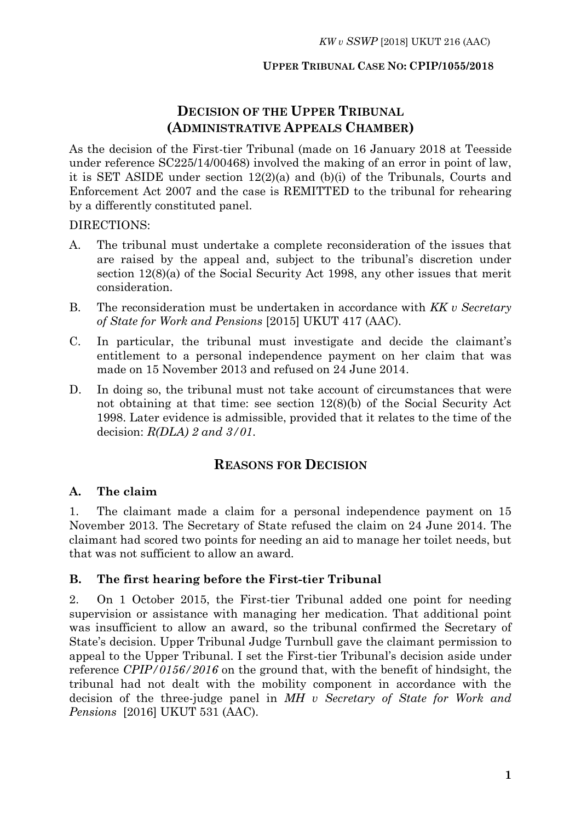# **DECISION OF THE UPPER TRIBUNAL (ADMINISTRATIVE APPEALS CHAMBER)**

As the decision of the First-tier Tribunal (made on 16 January 2018 at Teesside under reference SC225/14/00468) involved the making of an error in point of law, it is SET ASIDE under section 12(2)(a) and (b)(i) of the Tribunals, Courts and Enforcement Act 2007 and the case is REMITTED to the tribunal for rehearing by a differently constituted panel.

#### DIRECTIONS:

- A. The tribunal must undertake a complete reconsideration of the issues that are raised by the appeal and, subject to the tribunal's discretion under section 12(8)(a) of the Social Security Act 1998, any other issues that merit consideration.
- B. The reconsideration must be undertaken in accordance with *KK v Secretary of State for Work and Pensions* [2015] UKUT 417 (AAC).
- C. In particular, the tribunal must investigate and decide the claimant's entitlement to a personal independence payment on her claim that was made on 15 November 2013 and refused on 24 June 2014.
- D. In doing so, the tribunal must not take account of circumstances that were not obtaining at that time: see section 12(8)(b) of the Social Security Act 1998. Later evidence is admissible, provided that it relates to the time of the decision: *R(DLA) 2 and 3/01*.

# **REASONS FOR DECISION**

## **A. The claim**

1. The claimant made a claim for a personal independence payment on 15 November 2013. The Secretary of State refused the claim on 24 June 2014. The claimant had scored two points for needing an aid to manage her toilet needs, but that was not sufficient to allow an award.

#### **B. The first hearing before the First-tier Tribunal**

2. On 1 October 2015, the First-tier Tribunal added one point for needing supervision or assistance with managing her medication. That additional point was insufficient to allow an award, so the tribunal confirmed the Secretary of State's decision. Upper Tribunal Judge Turnbull gave the claimant permission to appeal to the Upper Tribunal. I set the First-tier Tribunal's decision aside under reference *CPIP/0156/2016* on the ground that, with the benefit of hindsight, the tribunal had not dealt with the mobility component in accordance with the decision of the three-judge panel in *MH v Secretary of State for Work and Pensions* [2016] UKUT 531 (AAC).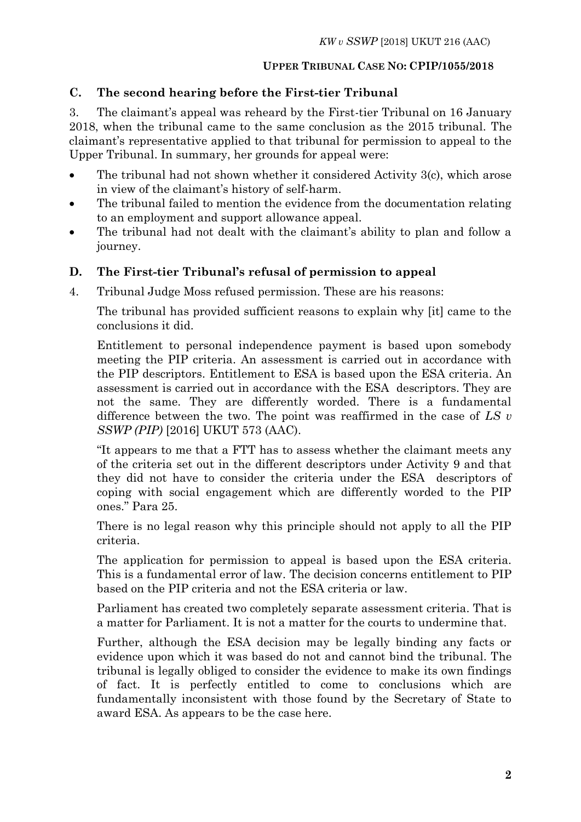### **C. The second hearing before the First-tier Tribunal**

3. The claimant's appeal was reheard by the First-tier Tribunal on 16 January 2018, when the tribunal came to the same conclusion as the 2015 tribunal. The claimant's representative applied to that tribunal for permission to appeal to the Upper Tribunal. In summary, her grounds for appeal were:

- The tribunal had not shown whether it considered Activity 3(c), which arose in view of the claimant's history of self-harm.
- The tribunal failed to mention the evidence from the documentation relating to an employment and support allowance appeal.
- The tribunal had not dealt with the claimant's ability to plan and follow a journey.

### **D. The First-tier Tribunal's refusal of permission to appeal**

4. Tribunal Judge Moss refused permission. These are his reasons:

The tribunal has provided sufficient reasons to explain why [it] came to the conclusions it did.

Entitlement to personal independence payment is based upon somebody meeting the PIP criteria. An assessment is carried out in accordance with the PIP descriptors. Entitlement to ESA is based upon the ESA criteria. An assessment is carried out in accordance with the ESA descriptors. They are not the same. They are differently worded. There is a fundamental difference between the two. The point was reaffirmed in the case of *LS v SSWP (PIP)* [2016] UKUT 573 (AAC).

"It appears to me that a FTT has to assess whether the claimant meets any of the criteria set out in the different descriptors under Activity 9 and that they did not have to consider the criteria under the ESA descriptors of coping with social engagement which are differently worded to the PIP ones." Para 25.

There is no legal reason why this principle should not apply to all the PIP criteria.

The application for permission to appeal is based upon the ESA criteria. This is a fundamental error of law. The decision concerns entitlement to PIP based on the PIP criteria and not the ESA criteria or law.

Parliament has created two completely separate assessment criteria. That is a matter for Parliament. It is not a matter for the courts to undermine that.

Further, although the ESA decision may be legally binding any facts or evidence upon which it was based do not and cannot bind the tribunal. The tribunal is legally obliged to consider the evidence to make its own findings of fact. It is perfectly entitled to come to conclusions which are fundamentally inconsistent with those found by the Secretary of State to award ESA. As appears to be the case here.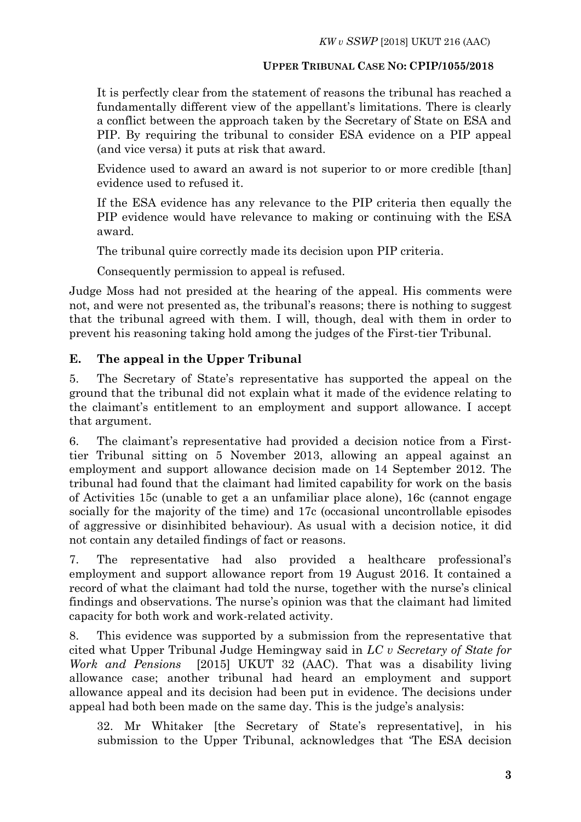It is perfectly clear from the statement of reasons the tribunal has reached a fundamentally different view of the appellant's limitations. There is clearly a conflict between the approach taken by the Secretary of State on ESA and PIP. By requiring the tribunal to consider ESA evidence on a PIP appeal (and vice versa) it puts at risk that award.

Evidence used to award an award is not superior to or more credible [than] evidence used to refused it.

If the ESA evidence has any relevance to the PIP criteria then equally the PIP evidence would have relevance to making or continuing with the ESA award.

The tribunal quire correctly made its decision upon PIP criteria.

Consequently permission to appeal is refused.

Judge Moss had not presided at the hearing of the appeal. His comments were not, and were not presented as, the tribunal's reasons; there is nothing to suggest that the tribunal agreed with them. I will, though, deal with them in order to prevent his reasoning taking hold among the judges of the First-tier Tribunal.

# **E. The appeal in the Upper Tribunal**

5. The Secretary of State's representative has supported the appeal on the ground that the tribunal did not explain what it made of the evidence relating to the claimant's entitlement to an employment and support allowance. I accept that argument.

6. The claimant's representative had provided a decision notice from a Firsttier Tribunal sitting on 5 November 2013, allowing an appeal against an employment and support allowance decision made on 14 September 2012. The tribunal had found that the claimant had limited capability for work on the basis of Activities 15c (unable to get a an unfamiliar place alone), 16c (cannot engage socially for the majority of the time) and 17c (occasional uncontrollable episodes of aggressive or disinhibited behaviour). As usual with a decision notice, it did not contain any detailed findings of fact or reasons.

7. The representative had also provided a healthcare professional's employment and support allowance report from 19 August 2016. It contained a record of what the claimant had told the nurse, together with the nurse's clinical findings and observations. The nurse's opinion was that the claimant had limited capacity for both work and work-related activity.

8. This evidence was supported by a submission from the representative that cited what Upper Tribunal Judge Hemingway said in *LC v Secretary of State for Work and Pensions* [2015] UKUT 32 (AAC). That was a disability living allowance case; another tribunal had heard an employment and support allowance appeal and its decision had been put in evidence. The decisions under appeal had both been made on the same day. This is the judge's analysis:

32. Mr Whitaker [the Secretary of State's representative], in his submission to the Upper Tribunal, acknowledges that 'The ESA decision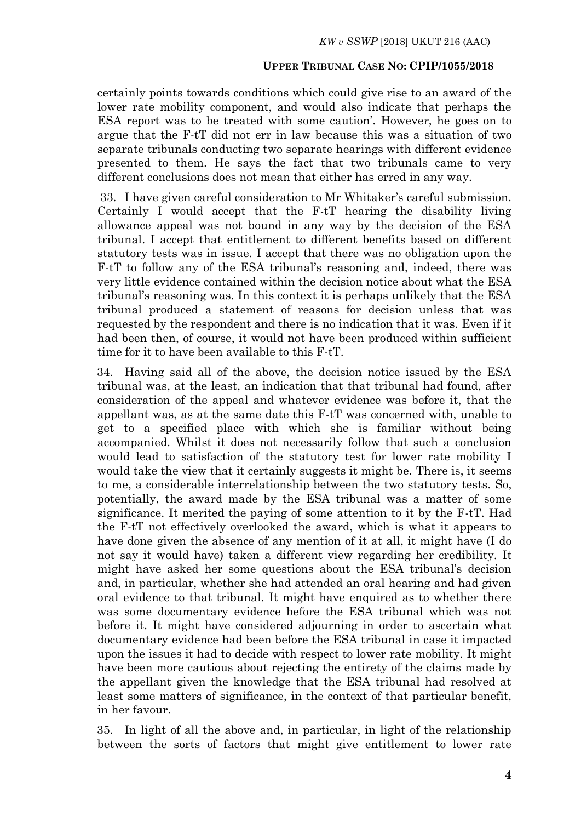certainly points towards conditions which could give rise to an award of the lower rate mobility component, and would also indicate that perhaps the ESA report was to be treated with some caution'. However, he goes on to argue that the F-tT did not err in law because this was a situation of two separate tribunals conducting two separate hearings with different evidence presented to them. He says the fact that two tribunals came to very different conclusions does not mean that either has erred in any way.

33. I have given careful consideration to Mr Whitaker's careful submission. Certainly I would accept that the F-tT hearing the disability living allowance appeal was not bound in any way by the decision of the ESA tribunal. I accept that entitlement to different benefits based on different statutory tests was in issue. I accept that there was no obligation upon the F-tT to follow any of the ESA tribunal's reasoning and, indeed, there was very little evidence contained within the decision notice about what the ESA tribunal's reasoning was. In this context it is perhaps unlikely that the ESA tribunal produced a statement of reasons for decision unless that was requested by the respondent and there is no indication that it was. Even if it had been then, of course, it would not have been produced within sufficient time for it to have been available to this F-tT.

34. Having said all of the above, the decision notice issued by the ESA tribunal was, at the least, an indication that that tribunal had found, after consideration of the appeal and whatever evidence was before it, that the appellant was, as at the same date this F-tT was concerned with, unable to get to a specified place with which she is familiar without being accompanied. Whilst it does not necessarily follow that such a conclusion would lead to satisfaction of the statutory test for lower rate mobility I would take the view that it certainly suggests it might be. There is, it seems to me, a considerable interrelationship between the two statutory tests. So, potentially, the award made by the ESA tribunal was a matter of some significance. It merited the paying of some attention to it by the F-tT. Had the F-tT not effectively overlooked the award, which is what it appears to have done given the absence of any mention of it at all, it might have (I do not say it would have) taken a different view regarding her credibility. It might have asked her some questions about the ESA tribunal's decision and, in particular, whether she had attended an oral hearing and had given oral evidence to that tribunal. It might have enquired as to whether there was some documentary evidence before the ESA tribunal which was not before it. It might have considered adjourning in order to ascertain what documentary evidence had been before the ESA tribunal in case it impacted upon the issues it had to decide with respect to lower rate mobility. It might have been more cautious about rejecting the entirety of the claims made by the appellant given the knowledge that the ESA tribunal had resolved at least some matters of significance, in the context of that particular benefit, in her favour.

35. In light of all the above and, in particular, in light of the relationship between the sorts of factors that might give entitlement to lower rate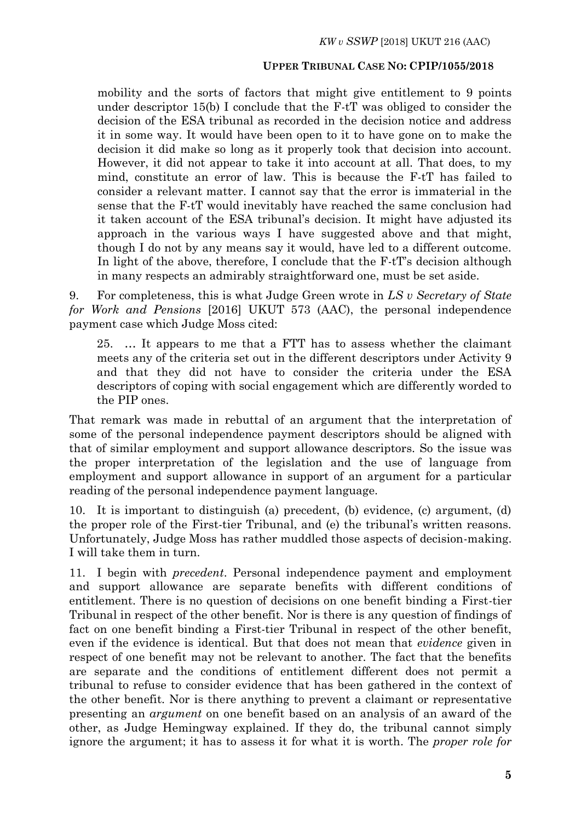mobility and the sorts of factors that might give entitlement to 9 points under descriptor 15(b) I conclude that the F-tT was obliged to consider the decision of the ESA tribunal as recorded in the decision notice and address it in some way. It would have been open to it to have gone on to make the decision it did make so long as it properly took that decision into account. However, it did not appear to take it into account at all. That does, to my mind, constitute an error of law. This is because the F-tT has failed to consider a relevant matter. I cannot say that the error is immaterial in the sense that the F-tT would inevitably have reached the same conclusion had it taken account of the ESA tribunal's decision. It might have adjusted its approach in the various ways I have suggested above and that might, though I do not by any means say it would, have led to a different outcome. In light of the above, therefore, I conclude that the F-tT's decision although in many respects an admirably straightforward one, must be set aside.

9. For completeness, this is what Judge Green wrote in *LS v Secretary of State for Work and Pensions* [2016] UKUT 573 (AAC), the personal independence payment case which Judge Moss cited:

25. … It appears to me that a FTT has to assess whether the claimant meets any of the criteria set out in the different descriptors under Activity 9 and that they did not have to consider the criteria under the ESA descriptors of coping with social engagement which are differently worded to the PIP ones.

That remark was made in rebuttal of an argument that the interpretation of some of the personal independence payment descriptors should be aligned with that of similar employment and support allowance descriptors. So the issue was the proper interpretation of the legislation and the use of language from employment and support allowance in support of an argument for a particular reading of the personal independence payment language.

10. It is important to distinguish (a) precedent, (b) evidence, (c) argument, (d) the proper role of the First-tier Tribunal, and (e) the tribunal's written reasons. Unfortunately, Judge Moss has rather muddled those aspects of decision-making. I will take them in turn.

11. I begin with *precedent*. Personal independence payment and employment and support allowance are separate benefits with different conditions of entitlement. There is no question of decisions on one benefit binding a First-tier Tribunal in respect of the other benefit. Nor is there is any question of findings of fact on one benefit binding a First-tier Tribunal in respect of the other benefit, even if the evidence is identical. But that does not mean that *evidence* given in respect of one benefit may not be relevant to another. The fact that the benefits are separate and the conditions of entitlement different does not permit a tribunal to refuse to consider evidence that has been gathered in the context of the other benefit. Nor is there anything to prevent a claimant or representative presenting an *argument* on one benefit based on an analysis of an award of the other, as Judge Hemingway explained. If they do, the tribunal cannot simply ignore the argument; it has to assess it for what it is worth. The *proper role for*